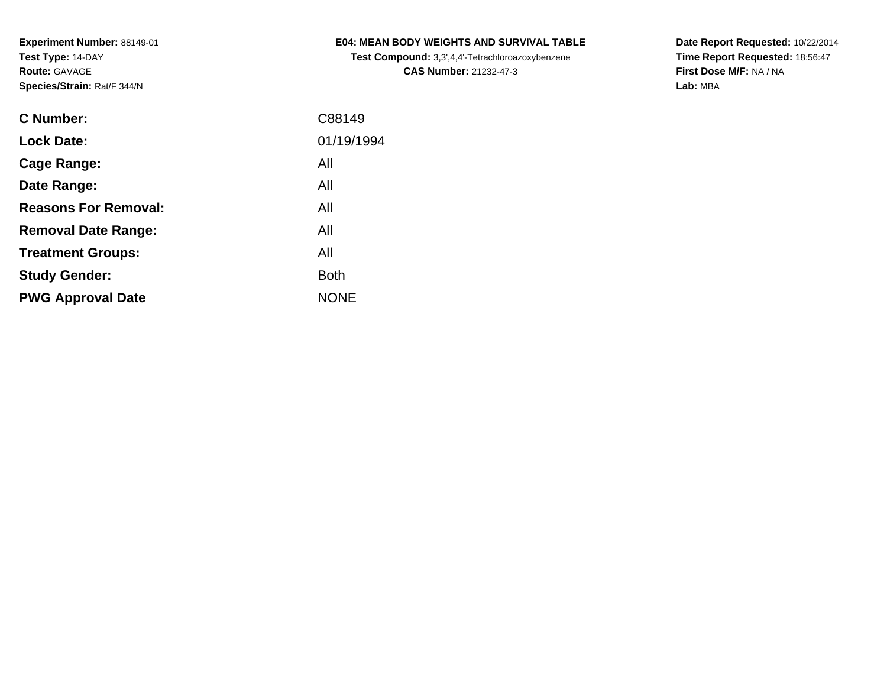**Test Compound:** 3,3',4,4'-Tetrachloroazoxybenzene**CAS Number:** 21232-47-3

**Date Report Requested:** 10/22/2014 **Time Report Requested:** 18:56:47**First Dose M/F:** NA / NA**Lab:** MBA

| <b>C</b> Number:            | C88149      |
|-----------------------------|-------------|
| <b>Lock Date:</b>           | 01/19/1994  |
| Cage Range:                 | All         |
| Date Range:                 | All         |
| <b>Reasons For Removal:</b> | All         |
| <b>Removal Date Range:</b>  | All         |
| <b>Treatment Groups:</b>    | All         |
| <b>Study Gender:</b>        | <b>Both</b> |
| <b>PWG Approval Date</b>    | <b>NONE</b> |
|                             |             |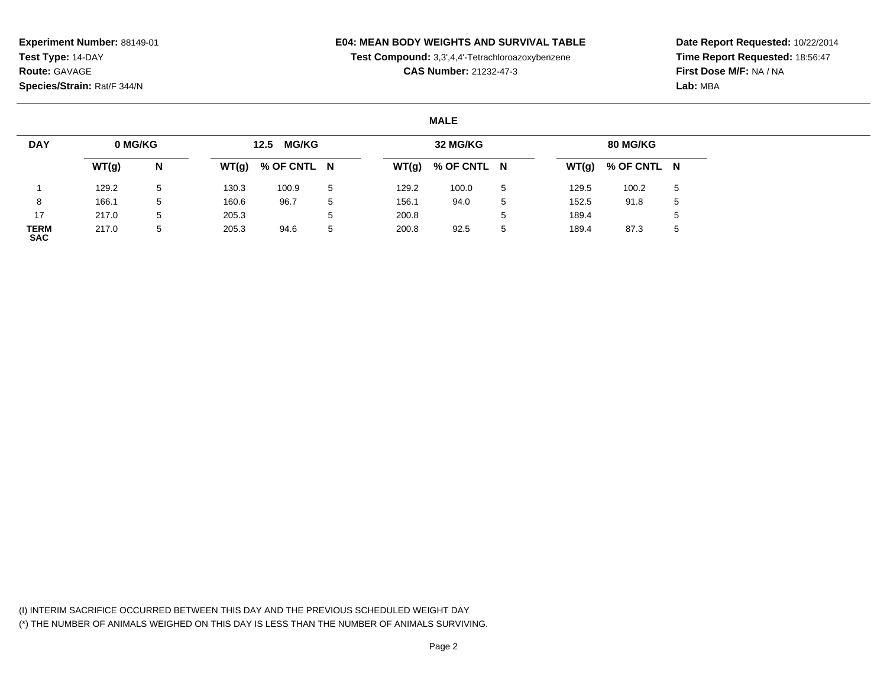## **E04: MEAN BODY WEIGHTS AND SURVIVAL TABLE**

**Test Compound:** 3,3',4,4'-Tetrachloroazoxybenzene

**CAS Number:** 21232-47-3

**Date Report Requested:** 10/22/2014**Time Report Requested:** 18:56:47**First Dose M/F:** NA / NA**Lab:** MBA

#### **MALE**

| <b>DAY</b>         | 0 MG/KG |   |       | <b>MG/KG</b><br>12.5 |              |       | 32 MG/KG    |   |       | 80 MG/KG            |   |
|--------------------|---------|---|-------|----------------------|--------------|-------|-------------|---|-------|---------------------|---|
|                    | WT(g)   | N | WT(g) | % OF CNTL N          |              | WT(g) | % OF CNTL N |   |       | $WT(g)$ % OF CNTL N |   |
|                    | 129.2   | 5 | 130.3 | 100.9                | -5           | 129.2 | 100.0       | 5 | 129.5 | 100.2               | 5 |
|                    | 166.1   | 5 | 160.6 | 96.7                 | 5            | 156.1 | 94.0        | 5 | 152.5 | 91.8                | 5 |
| 17                 | 217.0   | 5 | 205.3 |                      | $\mathbf{b}$ | 200.8 |             |   | 189.4 |                     |   |
| TERM<br><b>SAC</b> | 217.0   | 5 | 205.3 | 94.6                 | 5            | 200.8 | 92.5        | 5 | 189.4 | 87.3                | ა |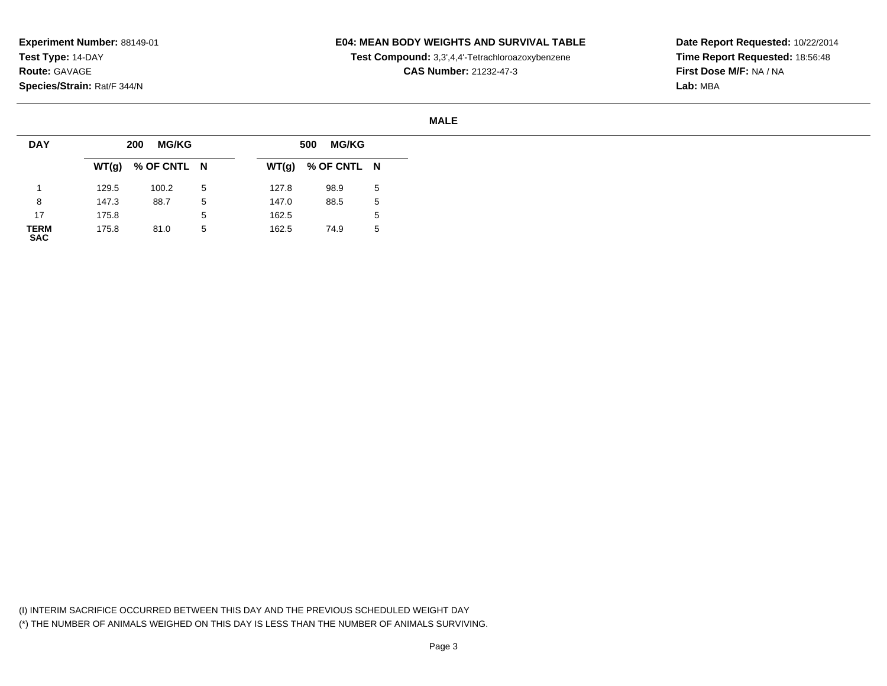### **E04: MEAN BODY WEIGHTS AND SURVIVAL TABLE**

**Test Compound:** 3,3',4,4'-Tetrachloroazoxybenzene

**CAS Number:** 21232-47-3

**Date Report Requested:** 10/22/2014**Time Report Requested:** 18:56:48**First Dose M/F:** NA / NA**Lab:** MBA

#### **MALE**

| <b>DAY</b>          |       | <b>MG/KG</b><br>200 |   |       | <b>MG/KG</b><br>500 |   |
|---------------------|-------|---------------------|---|-------|---------------------|---|
|                     |       | $WT(g)$ % OF CNTL N |   | WT(g) | % OF CNTL N         |   |
|                     | 129.5 | 100.2               | 5 | 127.8 | 98.9                | 5 |
| 8                   | 147.3 | 88.7                | 5 | 147.0 | 88.5                | 5 |
| 17                  | 175.8 |                     | 5 | 162.5 |                     | 5 |
| <b>TERM<br/>SAC</b> | 175.8 | 81.0                | 5 | 162.5 | 74.9                | 5 |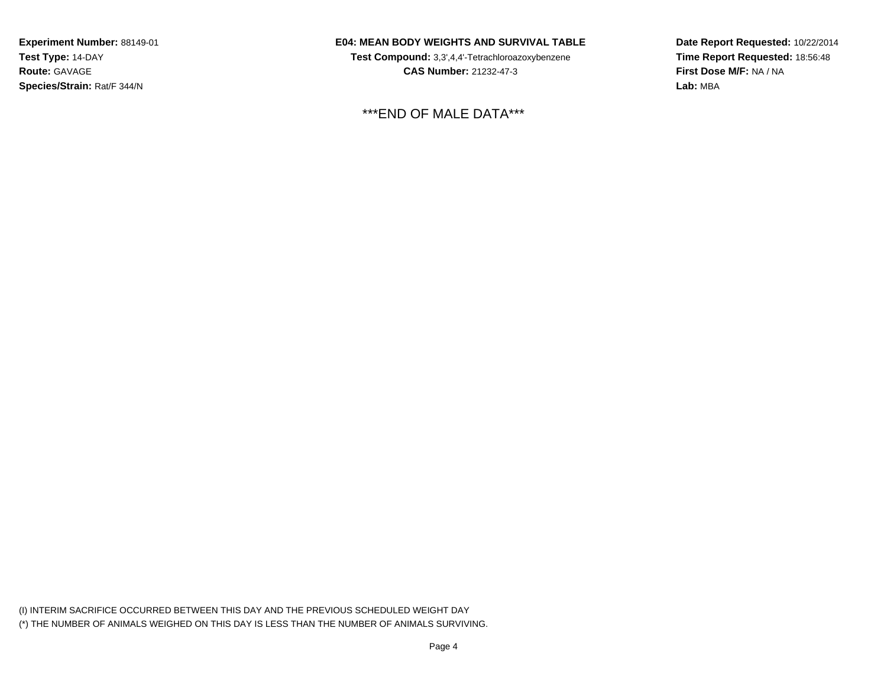## **E04: MEAN BODY WEIGHTS AND SURVIVAL TABLE**

**Test Compound:** 3,3',4,4'-Tetrachloroazoxybenzene**CAS Number:** 21232-47-3

\*\*\*END OF MALE DATA\*\*\*

**Date Report Requested:** 10/22/2014**Time Report Requested:** 18:56:48**First Dose M/F:** NA / NA**Lab:** MBA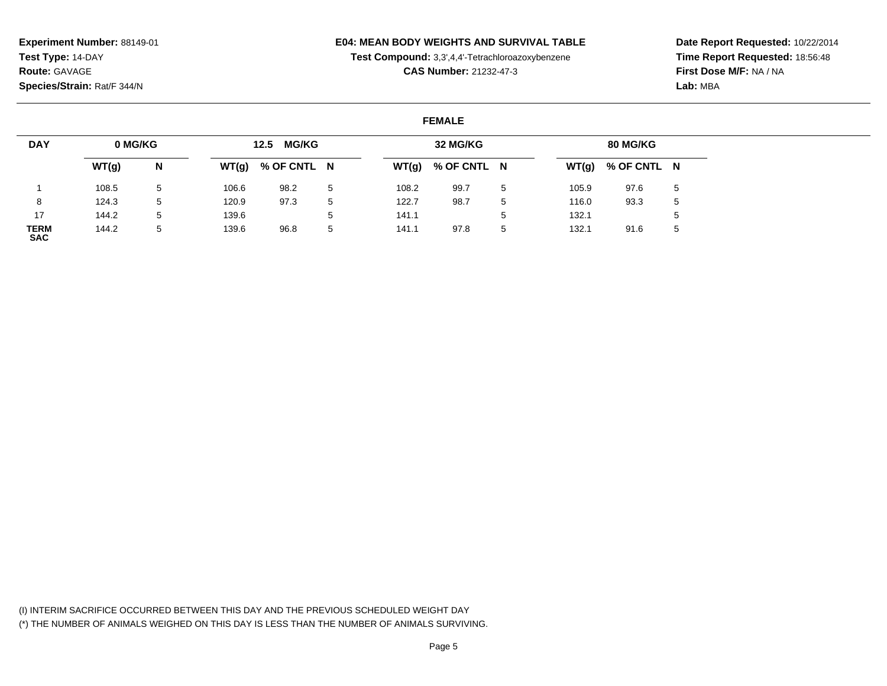## **E04: MEAN BODY WEIGHTS AND SURVIVAL TABLE**

**Test Compound:** 3,3',4,4'-Tetrachloroazoxybenzene

**CAS Number:** 21232-47-3

**Date Report Requested:** 10/22/2014**Time Report Requested:** 18:56:48**First Dose M/F:** NA / NA**Lab:** MBA

#### **FEMALE**

| <b>DAY</b>                | 0 MG/KG |   |       | <b>MG/KG</b><br>12.5 |   |       | 32 MG/KG    |   |       | 80 MG/KG            |   |
|---------------------------|---------|---|-------|----------------------|---|-------|-------------|---|-------|---------------------|---|
|                           | WT(g)   | N | WT(g) | % OF CNTL N          |   | WT(g) | % OF CNTL N |   |       | $WT(g)$ % OF CNTL N |   |
|                           | 108.5   | 5 | 106.6 | 98.2                 | 5 | 108.2 | 99.7        | 5 | 105.9 | 97.6                | 5 |
| 8                         | 124.3   | 5 | 120.9 | 97.3                 |   | 122.7 | 98.7        | 5 | 116.0 | 93.3                | 5 |
| 17                        | 144.2   | 5 | 139.6 |                      |   | 141.1 |             | 5 | 132.1 |                     |   |
| <b>TERM</b><br><b>SAC</b> | 144.2   | 5 | 139.6 | 96.8                 | 5 | 141.1 | 97.8        | 5 | 132.1 | 91.6                |   |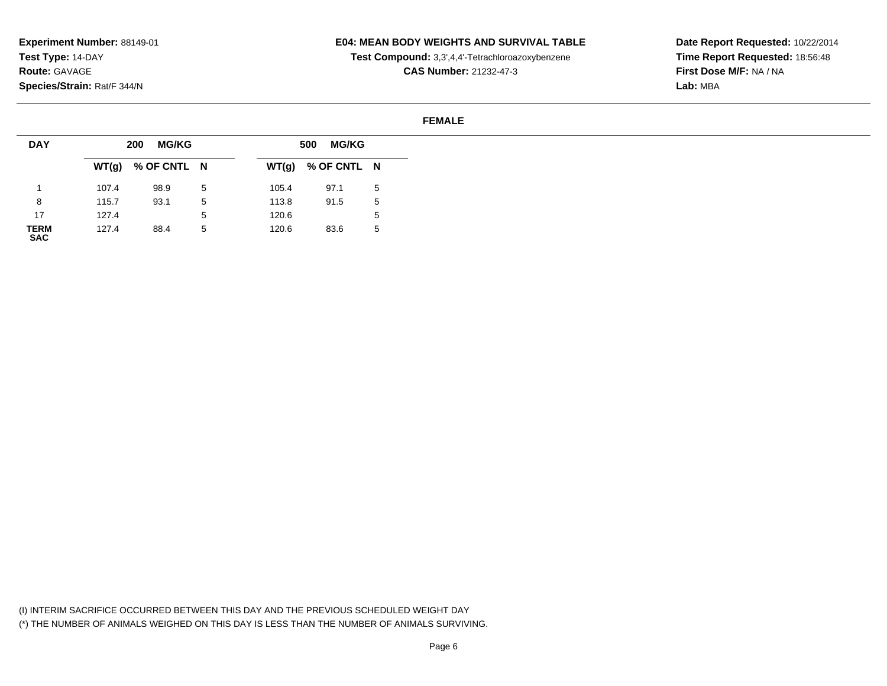## **E04: MEAN BODY WEIGHTS AND SURVIVAL TABLE**

**Test Compound:** 3,3',4,4'-Tetrachloroazoxybenzene

**CAS Number:** 21232-47-3

**Date Report Requested:** 10/22/2014**Time Report Requested:** 18:56:48**First Dose M/F:** NA / NA**Lab:** MBA

#### **FEMALE**

| <b>DAY</b>          |       | <b>MG/KG</b><br>200 |   |       | <b>MG/KG</b><br>500 |   |
|---------------------|-------|---------------------|---|-------|---------------------|---|
|                     |       | $WT(g)$ % OF CNTL N |   |       | $WT(g)$ % OF CNTL N |   |
|                     | 107.4 | 98.9                | 5 | 105.4 | 97.1                | 5 |
| 8                   | 115.7 | 93.1                | 5 | 113.8 | 91.5                | 5 |
| 17                  | 127.4 |                     | 5 | 120.6 |                     | 5 |
| <b>TERM<br/>SAC</b> | 127.4 | 88.4                | 5 | 120.6 | 83.6                | 5 |